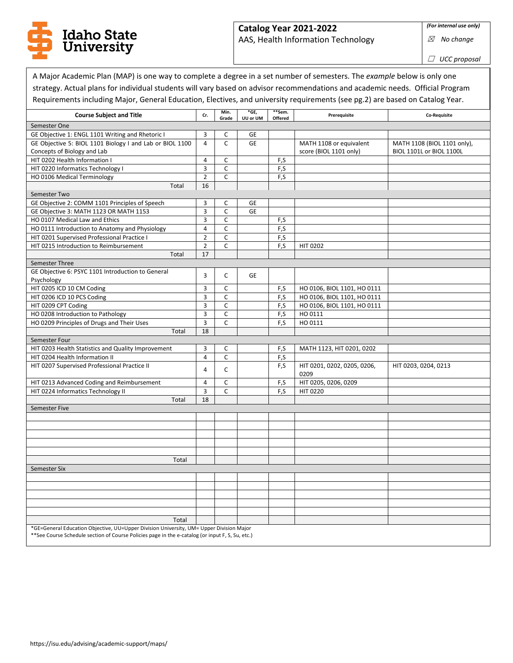

## **Catalog Year 2021-2022**

AAS, Health Information Technology

*(For internal use only)*

☒ *No change*

☐ *UCC proposal*

٦

|                |                                                                                                                                                                                                      |                                                                                                                                                                                                                                                                                  |                             |                                                                                             | Requirements including Major, General Education, Electives, and university requirements (see pg.2) are based on Catalog Year.                                                             |
|----------------|------------------------------------------------------------------------------------------------------------------------------------------------------------------------------------------------------|----------------------------------------------------------------------------------------------------------------------------------------------------------------------------------------------------------------------------------------------------------------------------------|-----------------------------|---------------------------------------------------------------------------------------------|-------------------------------------------------------------------------------------------------------------------------------------------------------------------------------------------|
| Cr.            | Min.                                                                                                                                                                                                 | *GE,                                                                                                                                                                                                                                                                             | **Sem.                      | Prerequisite                                                                                | Co-Requisite                                                                                                                                                                              |
|                |                                                                                                                                                                                                      |                                                                                                                                                                                                                                                                                  |                             |                                                                                             |                                                                                                                                                                                           |
| 3              | C                                                                                                                                                                                                    | GE                                                                                                                                                                                                                                                                               |                             |                                                                                             |                                                                                                                                                                                           |
| $\overline{4}$ | $\mathsf{C}$                                                                                                                                                                                         | <b>GE</b>                                                                                                                                                                                                                                                                        |                             | MATH 1108 or equivalent                                                                     | MATH 1108 (BIOL 1101 only),                                                                                                                                                               |
|                |                                                                                                                                                                                                      |                                                                                                                                                                                                                                                                                  |                             |                                                                                             | BIOL 1101L or BIOL 1100L                                                                                                                                                                  |
| 4              | C                                                                                                                                                                                                    |                                                                                                                                                                                                                                                                                  | F,S                         |                                                                                             |                                                                                                                                                                                           |
|                |                                                                                                                                                                                                      |                                                                                                                                                                                                                                                                                  |                             |                                                                                             |                                                                                                                                                                                           |
|                |                                                                                                                                                                                                      |                                                                                                                                                                                                                                                                                  |                             |                                                                                             |                                                                                                                                                                                           |
|                |                                                                                                                                                                                                      |                                                                                                                                                                                                                                                                                  |                             |                                                                                             |                                                                                                                                                                                           |
|                |                                                                                                                                                                                                      |                                                                                                                                                                                                                                                                                  |                             |                                                                                             |                                                                                                                                                                                           |
|                |                                                                                                                                                                                                      |                                                                                                                                                                                                                                                                                  |                             |                                                                                             |                                                                                                                                                                                           |
|                |                                                                                                                                                                                                      |                                                                                                                                                                                                                                                                                  |                             |                                                                                             |                                                                                                                                                                                           |
|                |                                                                                                                                                                                                      |                                                                                                                                                                                                                                                                                  |                             |                                                                                             |                                                                                                                                                                                           |
|                |                                                                                                                                                                                                      |                                                                                                                                                                                                                                                                                  |                             |                                                                                             |                                                                                                                                                                                           |
|                |                                                                                                                                                                                                      |                                                                                                                                                                                                                                                                                  |                             |                                                                                             |                                                                                                                                                                                           |
|                |                                                                                                                                                                                                      |                                                                                                                                                                                                                                                                                  |                             |                                                                                             |                                                                                                                                                                                           |
|                |                                                                                                                                                                                                      |                                                                                                                                                                                                                                                                                  |                             |                                                                                             |                                                                                                                                                                                           |
|                |                                                                                                                                                                                                      |                                                                                                                                                                                                                                                                                  |                             |                                                                                             |                                                                                                                                                                                           |
| 3              | C                                                                                                                                                                                                    | <b>GE</b>                                                                                                                                                                                                                                                                        |                             |                                                                                             |                                                                                                                                                                                           |
|                |                                                                                                                                                                                                      |                                                                                                                                                                                                                                                                                  |                             |                                                                                             |                                                                                                                                                                                           |
|                |                                                                                                                                                                                                      |                                                                                                                                                                                                                                                                                  |                             |                                                                                             |                                                                                                                                                                                           |
|                |                                                                                                                                                                                                      |                                                                                                                                                                                                                                                                                  |                             |                                                                                             |                                                                                                                                                                                           |
|                |                                                                                                                                                                                                      |                                                                                                                                                                                                                                                                                  |                             |                                                                                             |                                                                                                                                                                                           |
|                |                                                                                                                                                                                                      |                                                                                                                                                                                                                                                                                  |                             |                                                                                             |                                                                                                                                                                                           |
|                |                                                                                                                                                                                                      |                                                                                                                                                                                                                                                                                  |                             |                                                                                             |                                                                                                                                                                                           |
|                |                                                                                                                                                                                                      |                                                                                                                                                                                                                                                                                  |                             |                                                                                             |                                                                                                                                                                                           |
| 3              | C                                                                                                                                                                                                    |                                                                                                                                                                                                                                                                                  | F,S                         |                                                                                             |                                                                                                                                                                                           |
| 4              | C                                                                                                                                                                                                    |                                                                                                                                                                                                                                                                                  |                             |                                                                                             |                                                                                                                                                                                           |
|                |                                                                                                                                                                                                      |                                                                                                                                                                                                                                                                                  | F,S                         | HIT 0201, 0202, 0205, 0206,                                                                 | HIT 0203, 0204, 0213                                                                                                                                                                      |
|                |                                                                                                                                                                                                      |                                                                                                                                                                                                                                                                                  |                             | 0209                                                                                        |                                                                                                                                                                                           |
| 4              | $\mathsf C$                                                                                                                                                                                          |                                                                                                                                                                                                                                                                                  | F,S                         | HIT 0205, 0206, 0209                                                                        |                                                                                                                                                                                           |
| 3              | $\mathsf{C}$                                                                                                                                                                                         |                                                                                                                                                                                                                                                                                  | F,S                         | <b>HIT 0220</b>                                                                             |                                                                                                                                                                                           |
| 18             |                                                                                                                                                                                                      |                                                                                                                                                                                                                                                                                  |                             |                                                                                             |                                                                                                                                                                                           |
|                |                                                                                                                                                                                                      |                                                                                                                                                                                                                                                                                  |                             |                                                                                             |                                                                                                                                                                                           |
|                |                                                                                                                                                                                                      |                                                                                                                                                                                                                                                                                  |                             |                                                                                             |                                                                                                                                                                                           |
|                |                                                                                                                                                                                                      |                                                                                                                                                                                                                                                                                  |                             |                                                                                             |                                                                                                                                                                                           |
|                |                                                                                                                                                                                                      |                                                                                                                                                                                                                                                                                  |                             |                                                                                             |                                                                                                                                                                                           |
|                |                                                                                                                                                                                                      |                                                                                                                                                                                                                                                                                  |                             |                                                                                             |                                                                                                                                                                                           |
|                |                                                                                                                                                                                                      |                                                                                                                                                                                                                                                                                  |                             |                                                                                             |                                                                                                                                                                                           |
|                |                                                                                                                                                                                                      |                                                                                                                                                                                                                                                                                  |                             |                                                                                             |                                                                                                                                                                                           |
|                |                                                                                                                                                                                                      |                                                                                                                                                                                                                                                                                  |                             |                                                                                             |                                                                                                                                                                                           |
|                |                                                                                                                                                                                                      |                                                                                                                                                                                                                                                                                  |                             |                                                                                             |                                                                                                                                                                                           |
|                |                                                                                                                                                                                                      |                                                                                                                                                                                                                                                                                  |                             |                                                                                             |                                                                                                                                                                                           |
|                |                                                                                                                                                                                                      |                                                                                                                                                                                                                                                                                  |                             |                                                                                             |                                                                                                                                                                                           |
|                |                                                                                                                                                                                                      |                                                                                                                                                                                                                                                                                  |                             |                                                                                             |                                                                                                                                                                                           |
|                |                                                                                                                                                                                                      |                                                                                                                                                                                                                                                                                  |                             |                                                                                             |                                                                                                                                                                                           |
|                | GE Objective 5: BIOL 1101 Biology I and Lab or BIOL 1100<br>3<br>$\overline{2}$<br>16<br>3<br>3<br>3<br>$\overline{4}$<br>$\overline{2}$<br>$\overline{2}$<br>17<br>3<br>3<br>3<br>3<br>3<br>18<br>4 | Grade<br>$\mathsf{C}$<br>$\mathsf{C}$<br>C<br>C<br>$\mathsf{C}$<br>$\mathsf{C}$<br>$\mathsf{C}$<br>C<br>$\mathsf C$<br>C<br>$\mathsf C$<br>$\mathsf C$<br>$\mathsf{C}$<br>$\mathsf C$<br>*GE=General Education Objective, UU=Upper Division University, UM= Upper Division Major | UU or UM<br><b>GE</b><br>GE | Offered<br>F,S<br>F,S<br>F,S<br>F,S<br>F,S<br>F,S<br>F,S<br>F,S<br>F,S<br>F,S<br>F.S<br>F,S | score (BIOL 1101 only)<br><b>HIT 0202</b><br>HO 0106, BIOL 1101, HO 0111<br>HO 0106, BIOL 1101, HO 0111<br>HO 0106, BIOL 1101, HO 0111<br>HO 0111<br>HO 0111<br>MATH 1123, HIT 0201, 0202 |